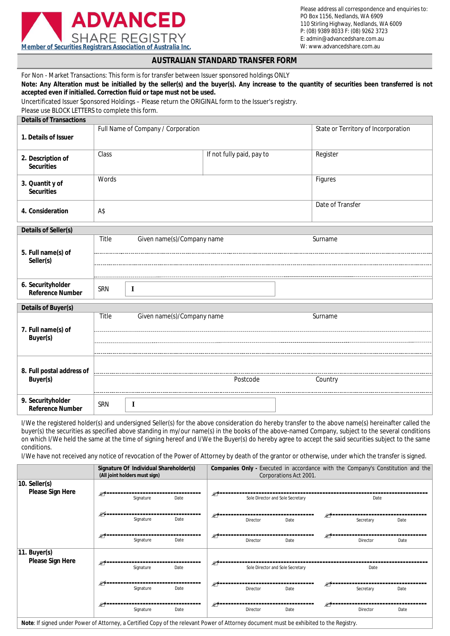

# **AUSTRALIAN STANDARD TRANSFER FORM**

For Non - Market Transactions: This form is for transfer between Issuer sponsored holdings ONLY

**Note: Any Alteration must be initialled by the seller(s) and the buyer(s). Any increase to the quantity of securities been transferred is not accepted even if initialled. Correction fluid or tape must not be used.**

Uncertificated Issuer Sponsored Holdings – Please return the ORIGINAL form to the Issuer's registry.

Please use BLOCK LETTERS to complete this form.

| <b>Details of Transactions</b>                                                    |                                     |                                     |          |  |  |  |
|-----------------------------------------------------------------------------------|-------------------------------------|-------------------------------------|----------|--|--|--|
| 1. Details of Issuer                                                              | Full Name of Company / Corporation  | State or Territory of Incorporation |          |  |  |  |
| 2. Description of<br><b>Securities</b>                                            | Class                               | If not fully paid, pay to           | Register |  |  |  |
| 3. Quantit y of<br><b>Securities</b>                                              | Words<br>Figures                    |                                     |          |  |  |  |
| 4. Consideration                                                                  | Date of Transfer<br>A\$             |                                     |          |  |  |  |
| Details of Seller(s)                                                              |                                     |                                     |          |  |  |  |
| Title<br>Given name(s)/Company name<br>Surname<br>5. Full name(s) of<br>Seller(s) |                                     |                                     |          |  |  |  |
|                                                                                   |                                     |                                     |          |  |  |  |
| 6. Securityholder<br><b>Reference Number</b>                                      | <b>SRN</b><br>$\bf{I}$              |                                     |          |  |  |  |
| Details of Buyer(s)                                                               |                                     |                                     |          |  |  |  |
|                                                                                   | Title<br>Given name(s)/Company name |                                     | Surname  |  |  |  |
| 7. Full name(s) of<br>Buyer(s)                                                    |                                     |                                     |          |  |  |  |
| 8. Full postal address of<br>Buyer(s)                                             |                                     |                                     |          |  |  |  |
|                                                                                   |                                     | Postcode                            | Country  |  |  |  |
| 9. Securityholder<br><b>Reference Number</b>                                      | SRN<br>$\bf{I}$                     |                                     |          |  |  |  |

I/We the registered holder(s) and undersigned Seller(s) for the above consideration do hereby transfer to the above name(s) hereinafter called the buyer(s) the securities as specified above standing in my/our name(s) in the books of the above-named Company, subject to the several conditions on which I/We held the same at the time of signing hereof and I/We the Buyer(s) do hereby agree to accept the said securities subject to the same conditions.

I/We have not received any notice of revocation of the Power of Attorney by death of the grantor or otherwise, under which the transfer is signed.

|                                                                                                                                         |      | Signature Of Individual Shareholder(s)<br>(All joint holders must sign) |      |                                               |          | Corporations Act 2001.           |    |           | Companies Only - Executed in accordance with the Company's Constitution and the |
|-----------------------------------------------------------------------------------------------------------------------------------------|------|-------------------------------------------------------------------------|------|-----------------------------------------------|----------|----------------------------------|----|-----------|---------------------------------------------------------------------------------|
| $10.$ Seller(s)<br>Please Sign Here                                                                                                     | ≤    | Signature                                                               | Date | ≤<br>Sole Director and Sole Secretary<br>Date |          |                                  |    |           |                                                                                 |
|                                                                                                                                         | ⋐⋸   | Signature                                                               | Date | Ø.                                            | Director | Date                             | ☞  | Secretary | Date                                                                            |
|                                                                                                                                         | Æf = | Signature                                                               | Date | S-                                            | Director | Date                             | S. | Director  | Date                                                                            |
| 11. Buyer(s) <br>Please Sign Here<br>≤                                                                                                  |      | Signature                                                               | Date | S-                                            |          | Sole Director and Sole Secretary |    | Date      |                                                                                 |
|                                                                                                                                         | ⊯∕   | Signature                                                               | Date | S-                                            | Director | Date                             | ≤  | Secretary | Date                                                                            |
| Note: If signed under Power of Attorney, a Certified Copy of the relevant Power of Attorney document must be exhibited to the Registry. | ≤    | Signature                                                               | Date | ≤                                             | Director | Date                             | €  | Director  | Date                                                                            |